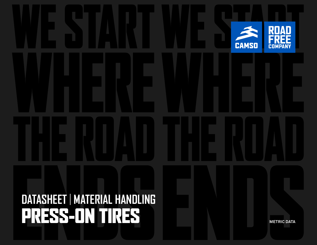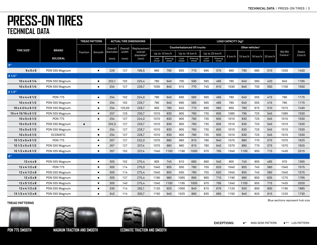|                                    |                 |                | <b>TREAD PATTERN</b> |          |         | <b>ACTUAL TIRE DIMENSIONS</b>    |               |                   |               |                                    |               |                   | LOAD CAPACITY (kg) <sup>2</sup> |                                             |     |     |                                |                    |
|------------------------------------|-----------------|----------------|----------------------|----------|---------|----------------------------------|---------------|-------------------|---------------|------------------------------------|---------------|-------------------|---------------------------------|---------------------------------------------|-----|-----|--------------------------------|--------------------|
|                                    |                 |                |                      | Overall  | Overall | Replacement                      |               |                   |               | <b>Counterbalanced lift trucks</b> |               |                   |                                 | Other vehicles <sup>3</sup>                 |     |     |                                |                    |
| <b>TIRE SIZE<sup>1</sup></b>       | <b>BRAND</b>    | Traction       | Smooth               | diameter | width   | overall<br>diameter <sup>5</sup> |               | Up to 10 km/h     |               | Up to 16 km/h                      | Up to 25 km/h |                   |                                 |                                             |     |     | RO/RO<br>Trailers <sup>4</sup> | Static<br>$0$ km/h |
|                                    | <b>SOLIDEAL</b> |                |                      | (mm)     | (mm)    | (mm)                             | Load<br>wheel | Steering<br>wheel | Load<br>wheel | Steering<br>wheel                  | Load<br>wheel | Steering<br>wheel | 6 km/h                          | $10 \text{ km/h}$ 16 km/h $25 \text{ km/h}$ |     |     |                                |                    |
| $5"$                               |                 |                |                      |          |         |                                  |               |                   |               |                                    |               |                   |                                 |                                             |     |     |                                |                    |
| 9x5x5                              | PON 555 Magnum  |                | $\blacksquare$       | 229      | 127     | 199,5                            | 960           | 790               | 855           | 715                                | 695           | 570               | 960                             | 790                                         | 680 | 515 | 1030                           | 1450               |
| 61/4"                              |                 |                |                      |          |         |                                  |               |                   |               |                                    |               |                   |                                 |                                             |     |     |                                |                    |
| $10 \times 4 \times 6$ 1/4         | PON 555 Magnum  |                | $\blacksquare$       | 252,1    | 102     | 225,4                            | 780           | 640               | 700           | 590                                | 565           | 465               | 780                             | 640                                         | 560 | 420 | 840                            | 1185               |
| $10 \times 5 \times 6$ 1/4         | PON 555 Magnum  |                | $\blacksquare$       | 254      | 127     | 226.7                            | 1030          | 840               | 915           | 770                                | 745           | 610               | 1030                            | 840                                         | 730 | 550 | 1100                           | 1550               |
| 6 1/2"                             |                 |                |                      |          |         |                                  |               |                   |               |                                    |               |                   |                                 |                                             |     |     |                                |                    |
| $10 \times 4 \times 6$ 1/2         | <b>PON 775</b>  |                | $\blacksquare$       | 254      | 102     | 224,0                            | 780           | 640               | 695           | 585                                | 565           | 465               | 780                             | 640                                         | 555 | 415 | 780                            | 1175               |
| $10 \times 4 \times 6$ 1/2         | PON 555 Magnum  |                | $\blacksquare$       | 254      | 102     | 228,7                            | 780           | 640               | 695           | 585                                | 565           | 465               | 780                             | 640                                         | 555 | 415 | 780                            | 1175               |
| $10 \times 43/4 \times 61/2$       | PON 555 Magnum  |                | $\blacksquare$       | 254      | 120,65  | 228,7                            | 950           | 780               | 845           | 710                                | 690           | 565               | 950                             | 780                                         | 675 | 510 | 1015                           | 1430               |
| $10 \times 4$ 15/16 $\times$ 6 1/2 | PON 555 Magnum  |                | $\blacksquare$       | 257      | 125     | 230,7                            | 1010          | 830               | 905           | 760                                | 735           | 605               | 1085                            | 795                                         | 725 | 545 | 1085                           | 1530               |
| $10 \times 5 \times 6$ 1/2         | <b>PON 775</b>  |                | $\blacksquare$       | 254      | 127     | 224,0                            | 1010          | 830               | 905           | 760                                | 735           | 605               | 1010                            | 830                                         | 725 | 545 | 1010                           | 1530               |
| $10 \times 5 \times 6$ 1/2         | PON 550 Magnum  | $\blacksquare$ |                      | 255.5    | 127     | 229,7                            | 1010          | 830               | 905           | 760                                | 735           | 605               | 1010                            | 830                                         | 725 | 545 | 1010                           | 1530               |
| $10 \times 5 \times 6$ 1/2         | PON 550 Magnum  |                | $\blacksquare$       | 254      | 127     | 228,7                            | 1010          | 830               | 905           | 760                                | 735           | 605               | 1010                            | 830                                         | 725 | 545 | 1010                           | 1530               |
| $10 \times 5 \times 6$ 1/2         | <b>ECOMATIC</b> |                | $\blacksquare$       | 254      | 127     | 228,7                            | 1010          | 830               | 905           | 760                                | 735           | 605               | 1010                            | 830                                         | 725 | 545 | 1010                           | 1530               |
| $101/2 \times 5 \times 61/2$       | <b>PON 775</b>  |                | $\blacksquare$       | 267      | 127     | 232,0                            | 1070          | 880               | 960           | 810                                | 780           | 640               | 1070                            | 880                                         | 770 | 575 | 1070                           | 1625               |
| $101/2 \times 5 \times 61/2$       | PON 555 Magnum  |                | $\blacksquare$       | 267      | 127     | 237.4                            | 1070          | 880               | 960           | 810                                | 780           | 640               | 1070                            | 880                                         | 770 | 575 | 1070                           | 1625               |
| $101/2 \times 6 \times 61/2$       | PON 555 Magnum  |                | $\blacksquare$       | 267      | 152     | 237,4                            | 1340          | 1100              | 1190          | 1000                               | 970           | 795               | 1340                            | 1100                                        | 950 | 715 | 1430                           | 2015               |
| 8"                                 |                 |                |                      |          |         |                                  |               |                   |               |                                    |               |                   |                                 |                                             |     |     |                                |                    |
| $12 \times 4 \times 8$             | PON 555 Magnum  |                | $\blacksquare$       | 305      | 102     | 275,4                            | 905           | 745               | 810           | 680                                | 660           | 540               | 905                             | 745                                         | 905 | 485 | 970                            | 1365               |
| $12 \times 41/2 \times 8$          | <b>PON 775</b>  |                | $\blacksquare$       | 305      | 114     | 270.0                            | 1040          | 855               | 930           | 780                                | 755           | 620               | 1040                            | 855                                         | 745 | 560 | 1040                           | 1575               |
| $12 \times 41/2 \times 8$          | PON 555 Magnum  |                | $\blacksquare$       | 305      | 114     | 275,4                            | 1040          | 855               | 930           | 780                                | 755           | 620               | 1040                            | 855                                         | 745 | 560 | 1040                           | 1575               |
| $12 \times 5 \times 8$             | PON 555 Magnum  |                | $\blacksquare$       | 305      | 127     | 275,4                            | 1190          | 980               | 1065          | 890                                | 865           | 710               | 1190                            | 980                                         | 850 | 635 | 1275                           | 1795               |
| $12 \times 51/2 \times 8$          | PON 555 Magnum  |                | $\blacksquare$       | 305      | 140     | 275,4                            | 1340          | 1100              | 1195          | 1005                               | 970           | 795               | 1340                            | 1100                                        | 955 | 715 | 1435                           | 2020               |
| $13 \times 41/2 \times 8$          | PON 555 Magnum  |                | $\blacksquare$       | 330      | 114     | 292,1                            | 1120          | 920               | 1000          | 840                                | 815           | 670               | 1120                            | 920                                         | 800 | 600 | 1195                           | 1685               |
| $131/2 \times 41/2 \times 8$       | PON 555 Magnum  |                | $\blacksquare$       | 343      | 114     | 300,7                            | 1150          | 940               | 1025          | 860                                | 835           | 685               | 1150                            | 940                                         | 820 | 615 | 1225                           | 1730               |

#### **TREAD PATTERNS**







**PON 775 SMOOTH MAGNUM TRACTION AND SMOOTH ECOMATIC TRACTION AND SMOOTH**

Blue sections represent hub size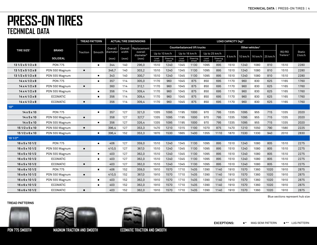|                               |                 |                | <b>TREAD PATTERN</b> |          |         | <b>ACTUAL TIRE DIMENSIONS</b>    |               |                   |               |                                    |               |                   | LOAD CAPACITY (kg) <sup>2</sup> |                             |                 |      |                                |                    |
|-------------------------------|-----------------|----------------|----------------------|----------|---------|----------------------------------|---------------|-------------------|---------------|------------------------------------|---------------|-------------------|---------------------------------|-----------------------------|-----------------|------|--------------------------------|--------------------|
|                               |                 |                |                      | Overall  | Overall | Replacement                      |               |                   |               | <b>Counterbalanced lift trucks</b> |               |                   |                                 | Other vehicles <sup>3</sup> |                 |      |                                |                    |
| <b>TIRE SIZE<sup>1</sup></b>  | <b>BRAND</b>    | Traction       | Smooth               | diameter | width   | overall<br>diameter <sup>5</sup> |               | Up to 10 km/h     | Up to 16 km/h |                                    |               | Up to 25 km/h     |                                 |                             |                 |      | RO/RO<br>Trailers <sup>4</sup> | Static<br>$0$ km/h |
|                               | <b>SOLIDEAL</b> |                |                      | (mm)     | (mm)    | (mm)                             | Load<br>wheel | Steering<br>wheel | Load<br>wheel | Steering<br>wheel                  | Load<br>wheel | Steering<br>wheel | 6 km/h                          | 10 km/h                     | 16 km/h 25 km/h |      |                                |                    |
| $131/2 \times 51/2 \times 8$  | <b>PON 775</b>  |                | $\blacksquare$       | 344      | 140     | 296,0                            | 1510          | 1240              | 1345          | 1130                               | 1095          | 895               | 1510                            | 1240                        | 1080            | 810  | 1510                           | 2280               |
| $131/2 \times 51/2 \times 8$  | PON 550 Magnum  | $\blacksquare$ |                      | 346,7    | 140     | 303,2                            | 1510          | 1240              | 1345          | 1130                               | 1095          | 895               | 1510                            | 1240                        | 1080            | 810  | 1510                           | 2280               |
| $131/2 \times 51/2 \times 8$  | PON 555 Magnum  |                | п                    | 343      | 140     | 300,7                            | 1510          | 1240              | 1345          | 1130                               | 1095          | 895               | 1510                            | 1240                        | 1080            | 810  | 1510                           | 2280               |
| $14 \times 41/2 \times 8$     | <b>PON 775</b>  |                | $\blacksquare$       | 357      | 114     | 305.0                            | 1170          | 960               | 1045          | 875                                | 850           | 695               | 1170                            | 960                         | 830             | 625  | 1165                           | 1760               |
| $14 \times 41/2 \times 8$     | PON 550 Magnum  | $\blacksquare$ |                      | 360      | 114     | 312,1                            | 1170          | 960               | 1045          | 875                                | 850           | 695               | 1170                            | 960                         | 830             | 625  | 1165                           | 1760               |
| $14 \times 41/2 \times 8$     | PON 555 Magnum  |                | $\blacksquare$       | 356      | 114     | 309,4                            | 1170          | 960               | 1045          | 875                                | 850           | 695               | 1170                            | 960                         | 830             | 625  | 1165                           | 1760               |
| $14 \times 41/2 \times 8$     | <b>ECOMATIC</b> |                | $\blacksquare$       | 356      | 114     | 309,4                            | 1170          | 960               | 1045          | 875                                | 850           | 695               | 1170                            | 960                         | 830             | 625  | 1165                           | 1760               |
| $14 \times 41/2 \times 8$     | <b>ECOMATIC</b> | $\blacksquare$ |                      | 356      | 114     | 309,4                            | 1170          | 960               | 1045          | 875                                | 850           | 695               | 1170                            | 960                         | 830             | 625  | 1165                           | 1760               |
| 10"                           |                 |                |                      |          |         |                                  |               |                   |               |                                    |               |                   |                                 |                             |                 |      |                                |                    |
| $14 \times 5 \times 10$       | <b>PON 775</b>  |                | $\blacksquare$       | 357      | 127     | 321,0                            | 1335          | 1095              | 1195          | 1000                               | 970           | 795               | 1335                            | 1095                        | 955             | 715  | 1335                           | 2020               |
| $14 \times 5 \times 10$       | PON 550 Magnum  | п              |                      | 358      | 127     | 327,7                            | 1335          | 1095              | 1195          | 1000                               | 970           | 795               | 1335                            | 1095                        | 955             | 715  | 1335                           | 2020               |
| $14 \times 5 \times 10$       | PON 555 Magnum  |                | $\blacksquare$       | 356      | 127     | 326,4                            | 1335          | 1095              | 1195          | 1000                               | 970           | 795               | 1335                            | 1095                        | 955             | 715  | 1335                           | 2020               |
| $151/2 \times 5 \times 10$    | PON 550 Magnum  | $\blacksquare$ |                      | 396,4    | 127     | 353,3                            | 1470          | 1210              | 1315          | 1100                               | 1070          | 875               | 1470                            | 1210                        | 1050            | 790  | 1580                           | 2225               |
| $151/2 \times 6 \times 10$    | PON 555 Magnum  |                | $\blacksquare$       | 396,4    | 152     | 353,3                            | 1870          | 1530              | 1665          | 1400                               | 1355          | 1110              | 1870                            | 1530                        | 1330            | 940  | 2010                           | 2830               |
| 101/2"                        |                 |                |                      |          |         |                                  |               |                   |               |                                    |               |                   |                                 |                             |                 |      |                                |                    |
| $16 \times 5 \times 101/2$    | <b>PON 775</b>  |                | $\blacksquare$       | 406      | 127     | 359,0                            | 1510          | 1240              | 1345          | 1130                               | 1095          | 895               | 1510                            | 1240                        | 1080            | 805  | 1510                           | 2275               |
| $16 \times 5 \times 101/2$    | PON 550 Magnum  | $\blacksquare$ |                      | 410,5    | 127     | 367,0                            | 1510          | 1240              | 1345          | 1130                               | 1095          | 895               | 1510                            | 1240                        | 1080            | 805  | 1510                           | 2275               |
| $16 \times 5 \times 101/2$    | PON 555 Magnum  |                | $\blacksquare$       | 403      | 127     | 362,0                            | 1510          | 1240              | 1345          | 1130                               | 1095          | 895               | 1510                            | 1240                        | 1080            | 805  | 1510                           | 2275               |
| $16 \times 5 \times 101/2$    | <b>ECOMATIC</b> |                | $\blacksquare$       | 403      | 127     | 362.0                            | 1510          | 1240              | 1345          | 1130                               | 1095          | 895               | 1510                            | 1240                        | 1080            | 805  | 1510                           | 2275               |
| $16 \times 5 \times 101/2$    | <b>ECOMATIC</b> | $\blacksquare$ |                      | 403      | 127     | 362,0                            | 1510          | 1240              | 1345          | 1130                               | 1095          | 895               | 1510                            | 1240                        | 1080            | 805  | 1510                           | 2275               |
| $16 \times 6 \times 101/2$    | <b>PON 775</b>  |                | $\blacksquare$       | 406      | 152     | 359,0                            | 1910          | 1570              | 1710          | 1435                               | 1390          | 1140              | 1910                            | 1570                        | 1360            | 1020 | 1910                           | 2875               |
| $16 \times 6 \times 101/2$    | PON 550 Magnum  | п.             |                      | 410,5    | 152     | 367,0                            | 1910          | 1570              | 1710          | 1435                               | 1390          | 1140              | 1910                            | 1570                        | 1360            | 1020 | 1910                           | 2875               |
| $16 \times 6 \times 101/2$    | PON 555 Magnum  |                | $\blacksquare$       | 403      | 152     | 362,0                            | 1910          | 1570              | 1710          | 1435                               | 1390          | 1140              | 1910                            | 1570                        | 1360            | 1020 | 1910                           | 2875               |
| $16 \times 6 \times 10$ $1/2$ | <b>ECOMATIC</b> |                | $\blacksquare$       | 403      | 152     | 362,0                            | 1910          | 1570              | 1710          | 1435                               | 1390          | 1140              | 1910                            | 1570                        | 1360            | 1020 | 1910                           | 2875               |
| $16 \times 6 \times 101/2$    | <b>ECOMATIC</b> | $\blacksquare$ |                      | 403      | 152     | 362,0                            | 1910          | 1570              | 1710          | 1435                               | 1390          | 1140              | 1910                            | 1570                        | 1360            | 1020 | 1910                           | 2875               |

**TREAD PATTERNS**







**PON 775 SMOOTH MAGNUM TRACTION AND SMOOTH ECOMATIC TRACTION AND SMOOTH**

Blue sections represent hub size

**EXCEPTIONS:** \* MAG SEMI PATTERN \*\* LUG PATTERN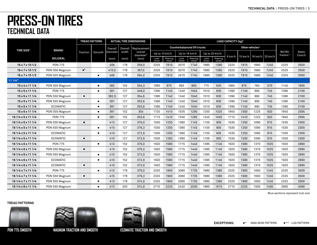|                              |                 |                        | <b>TREAD PATTERN</b> |          |         | <b>ACTUAL TIRE DIMENSIONS</b>    |               |                   |               |                                    |               |                   | LOAD CAPACITY (kg) <sup>2</sup> |                             |         |         |                                |                    |
|------------------------------|-----------------|------------------------|----------------------|----------|---------|----------------------------------|---------------|-------------------|---------------|------------------------------------|---------------|-------------------|---------------------------------|-----------------------------|---------|---------|--------------------------------|--------------------|
|                              |                 |                        |                      | Overall  | Overall | Replacement                      |               |                   |               | <b>Counterbalanced lift trucks</b> |               |                   |                                 | Other vehicles <sup>3</sup> |         |         |                                |                    |
| <b>TIRE SIZE<sup>1</sup></b> | <b>BRAND</b>    | Traction               | Smooth               | diameter | width   | overall<br>diameter <sup>5</sup> | Up to 10 km/h |                   |               | Up to 16 km/h                      | Up to 25 km/h |                   |                                 |                             |         |         | RO/RO<br>Trailers <sup>4</sup> | Static<br>$0$ km/h |
|                              | <b>SOLIDEAL</b> |                        |                      | (mm)     | (mm)    | (mm)                             | Load<br>wheel | Steering<br>wheel | Load<br>wheel | Steering<br>wheel                  | Load<br>wheel | Steering<br>wheel | 6 km/h                          | 10 km/h                     | 16 km/h | 25 km/h |                                |                    |
| $16 \times 7 \times 101/2$   | <b>PON 775</b>  |                        |                      | 406      | 178     | 359,0                            | 2325          | 1910              | 2070          | 1740                               | 1685          | 1380              | 2325                            | 1910                        | 1660    | 1245    | 2325                           | 3500               |
| $16 \times 7 \times 101/2$   | PON 550 Magnum  | $\blacksquare^{\star}$ |                      | 410,5    | 178     | 367,0                            | 2325          | 1910              | 2070          | 1740                               | 1685          | 1380              | 2325                            | 1910                        | 1660    | 1245    | 2325                           | 3500               |
| $16 \times 7 \times 101/2$   | PON 555 Magnum  |                        | п                    | 406      | 178     | 364,0                            | 2325          | 1910              | 2070          | 1740                               | 1685          | 1380              | 2325                            | 1910                        | 1660    | 1245    | 2325                           | 3500               |
| 111/4"                       |                 |                        |                      |          |         |                                  |               |                   |               |                                    |               |                   |                                 |                             |         |         |                                |                    |
| 15x4x111/4                   | PON 555 Magnum  |                        | П                    | 382      | 102     | 354,3                            | 1065          | 875               | 950           | 800                                | 775           | 635               | 1065                            | 875                         | 760     | 570     | 1140                           | 1605               |
| $15 \times 5 \times 111/4$   | <b>PON 775</b>  |                        | $\blacksquare$       | 381      | 127     | 348,0                            | 1390          | 1140              | 1240          | 1040                               | 1010          | 830               | 1390                            | 1140                        | 990     | 745     | 1390                           | 2100               |
| $15 \times 5 \times 111/4$   | PON 550 Magnum  | п                      |                      | 382,5    | 127     | 354,6                            | 1390          | 1140              | 1240          | 1040                               | 1010          | 830               | 1390                            | 1140                        | 990     | 745     | 1390                           | 2100               |
| $15 \times 5 \times 111/4$   | PON 555 Magnum  |                        | П                    | 381      | 127     | 353,6                            | 1390          | 1140              | 1240          | 1040                               | 1010          | 830               | 1390                            | 1140                        | 990     | 745     | 1390                           | 2100               |
| $15 \times 5 \times 111/4$   | <b>ECOMATIC</b> |                        | $\blacksquare$       | 381      | 127     | 353,6                            | 1390          | 1140              | 1240          | 1040                               | 1010          | 830               | 1390                            | 1140                        | 990     | 745     | 1390                           | 2100               |
| $15 \times 6 \times 111/4$   | PON 555 Magnum  |                        | $\blacksquare$       | 381      | 152     | 354                              | 1720          | 1410              | 1535          | 1290                               | 1250          | 1025              | 1840                            | 1350                        | 1225    | 920     | 1840                           | 2595               |
| 16 1/4 x 5 x 11 1/4          | <b>PON 775</b>  |                        | $\blacksquare$       | 381      | 152     | 353,6                            | 1715          | 1410              | 1530          | 1285                               | 1245          | 1020              | 1715                            | 1410                        | 1225    | 920     | 1840                           | 2595               |
| 16 1/4 x 5 x 11 1/4          | PON 550 Magnum  | п.                     |                      | 413      | 127     | 370,0                            | 1530          | 1250              | 1360          | 1145                               | 1105          | 905               | 1530                            | 1250                        | 1090    | 815     | 1530                           | 2300               |
| 16 1/4 x 5 x 11 1/4          | PON 555 Magnum  |                        | $\blacksquare$       | 415      | 127     | 376,3                            | 1530          | 1250              | 1360          | 1145                               | 1105          | 905               | 1530                            | 1250                        | 1090    | 815     | 1530                           | 2300               |
| 16 1/4 x 5 x 11 1/4          | <b>ECOMATIC</b> |                        | $\blacksquare$       | 410      | 127     | 372,9                            | 1530          | 1250              | 1360          | 1145                               | 1105          | 905               | 1530                            | 1250                        | 1090    | 815     | 1530                           | 2300               |
| 16 1/4 x 5 x 11 1/4          | <b>ECOMATIC</b> | $\blacksquare$         |                      | 410      | 127     | 372,9                            | 1530          | 1250              | 1360          | 1145                               | 1105          | 905               | 1530                            | 1250                        | 1090    | 815     | 1530                           | 2300               |
| 16 1/4 x 6 x 11 1/4          | <b>PON 775</b>  |                        | $\blacksquare$       | 413      | 152     | 370,0                            | 1920          | 1580              | 1715          | 1440                               | 1395          | 1140              | 1920                            | 1580                        | 1370    | 1025    | 1920                           | 2890               |
| 16 1/4 x 6 x 11 1/4          | PON 550 Magnum  | п                      |                      | 415      | 152     | 376,3                            | 1920          | 1580              | 1715          | 1440                               | 1395          | 1140              | 1920                            | 1580                        | 1370    | 1025    | 1920                           | 2890               |
| 16 1/4 x 6 x 11 1/4          | PON 555 Magnum  |                        | $\blacksquare$       | 410      | 152     | 372,9                            | 1920          | 1580              | 1715          | 1440                               | 1395          | 1140              | 1920                            | 1580                        | 1370    | 1025    | 1920                           | 2890               |
| 16 1/4 x 6 x 11 1/4          | <b>ECOMATIC</b> |                        | $\blacksquare$       | 410      | 152     | 372,9                            | 1920          | 1580              | 1715          | 1440                               | 1395          | 1140              | 1920                            | 1580                        | 1370    | 1025    | 1920                           | 2890               |
| 16 1/4 x 6 x 11 1/4          | <b>ECOMATIC</b> | п.                     |                      | 410      | 152     | 372,9                            | 1920          | 1580              | 1715          | 1440                               | 1395          | 1140              | 1920                            | 1580                        | 1370    | 1025    | 1920                           | 2890               |
| 16 1/4 x 7 x 11 1/4          | <b>PON 775</b>  |                        | $\blacksquare$       | 413      | 178     | 370,0                            | 2325          | 1900              | 2060          | 1735                               | 1680          | 1380              | 2325                            | 1900                        | 1650    | 1245    | 2325                           | 3500               |
| 16 1/4 x 7 x 11 1/4          | PON 550 Magnum  | $\blacksquare$         |                      | 415      | 178     | 376,3                            | 2325          | 1900              | 2060          | 1735                               | 1680          | 1380              | 2325                            | 1900                        | 1650    | 1245    | 2325                           | 3500               |
| 16 1/4 x 7 x 11 1/4          | PON 555 Magnum  |                        | п                    | 413      | 178     | 374,9                            | 2325          | 1900              | 2060          | 1735                               | 1680          | 1380              | 2325                            | 1900                        | 1650    | 1245    | 2325                           | 3500               |
| 16 1/4 x 8 x 11 1/4          | PON 555 Magnum  |                        | $\blacksquare$       | 413      | 203     | 374,9                            | 2710          | 2225              | 2420          | 2030                               | 1965          | 1615              | 2710                            | 2225                        | 1935    | 1450    | 2905                           | 4090               |

Blue sections represent hub size

#### **TREAD PATTERNS**





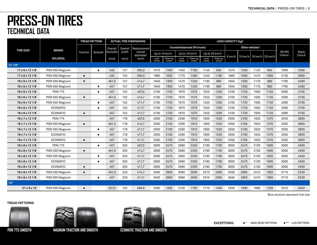|                              |                 | <b>TREAD PATTERN</b> |                |          |         | <b>ACTUAL TIRE DIMENSIONS</b>    |               |                   |               |                                    |               |                   | LOAD CAPACITY (kg) <sup>2</sup> |                             |                 |      |                                |                    |
|------------------------------|-----------------|----------------------|----------------|----------|---------|----------------------------------|---------------|-------------------|---------------|------------------------------------|---------------|-------------------|---------------------------------|-----------------------------|-----------------|------|--------------------------------|--------------------|
|                              |                 |                      |                | Overall  | Overall | Replacement                      |               |                   |               | <b>Counterbalanced lift trucks</b> |               |                   |                                 | Other vehicles <sup>3</sup> |                 |      |                                |                    |
| <b>TIRE SIZE<sup>1</sup></b> | <b>BRAND</b>    | Traction             | Smooth         | diameter | width   | overall<br>diameter <sup>5</sup> |               | Up to 10 km/h     |               | Up to 16 km/h                      |               | Up to 25 km/h     |                                 |                             |                 |      | RO/RO<br>Trailers <sup>4</sup> | Static<br>$0$ km/h |
|                              | <b>SOLIDEAL</b> |                      |                | (mm)     | (mm)    | (mm)                             | Load<br>wheel | Steering<br>wheel | Load<br>wheel | Steering<br>wheel                  | Load<br>wheel | Steering<br>wheel | 6 km/h                          | $10 \text{ km/h}$           | 16 km/h 25 km/h |      |                                |                    |
| 12 1/8"                      |                 |                      |                |          |         |                                  |               |                   |               |                                    |               |                   |                                 |                             |                 |      |                                |                    |
| $17 \times 5 \times 121$ /8  | PON 555 Magnum  |                      | п              | 432      | 127     | 395,0                            | 1570          | 1290              | 1400          | 1180                               | 1145          | 935               | 1570                            | 1290                        | 1120            | 845  | 1690                           | 2380               |
| $17 \times 6 \times 1211/8$  | PON 550 Magnum  | $\blacksquare$       |                | 432      | 152     | 395,0                            | 1980          | 1630              | 1770          | 1485                               | 1435          | 1180              | 1980                            | 1630                        | 1410            | 1065 | 2130                           | 3000               |
| $18 \times 5 \times 1211/8$  | PON 550 Magnum  | $\blacksquare$       |                | 461,5    | 127     | 414,7                            | 1640          | 1350              | 1470          | 1230                               | 1195          | 980               | 1640                            | 1350                        | 1170            | 880  | 1760                           | 2480               |
| $18 \times 5 \times 1211/8$  | PON 555 Magnum  |                      | $\blacksquare$ | 457      | 127     | 411,7                            | 1640          | 1350              | 1470          | 1230                               | 1195          | 980               | 1640                            | 1350                        | 1170            | 880  | 1760                           | 2480               |
| $18 \times 6 \times 1211/8$  | <b>PON 775</b>  |                      | $\blacksquare$ | 457      | 152     | 407,0                            | 2100          | 1720              | 1870          | 1575                               | 1525          | 1250              | 2100                            | 1720                        | 1500            | 1120 | 2090                           | 3155               |
| $18 \times 6 \times 1211/8$  | PON 550 Magnum  | $\blacksquare$       |                | 461,5    | 152     | 414,7                            | 2100          | 1720              | 1870          | 1575                               | 1525          | 1250              | 2100                            | 1720                        | 1500            | 1120 | 2090                           | 3155               |
| $18 \times 6 \times 121/8$   | PON 555 Magnum  |                      | $\blacksquare$ | 457      | 152     | 411,7                            | 2100          | 1720              | 1870          | 1575                               | 1525          | 1250              | 2100                            | 1720                        | 1500            | 1120 | 2090                           | 3155               |
| $18 \times 6 \times 1211/8$  | <b>ECOMATIC</b> |                      | $\blacksquare$ | 457      | 152     | 411,7                            | 2100          | 1720              | 1870          | 1575                               | 1525          | 1250              | 2100                            | 1720                        | 1500            | 1120 | 2090                           | 3155               |
| $18 \times 6 \times 1211/8$  | <b>ECOMATIC</b> | $\blacksquare$       |                | 457      | 152     | 411,7                            | 2100          | 1720              | 1870          | 1575                               | 1525          | 1250              | 2100                            | 1720                        | 1500            | 1120 | 2090                           | 3155               |
| $18 \times 7 \times 12$ 1/8  | <b>PON 775</b>  |                      |                | 457      | 178     | 407,0                            | 2550          | 2100              | 2280          | 1910                               | 1855          | 1520              | 2550                            | 2100                        | 1820            | 1370 | 2555                           | 3855               |
| 18 x 7 x 12 1/8              | PON 550 Magnum  | $\blacksquare$       |                | 461,5    | 178     | 414,7                            | 2550          | 2100              | 2280          | 1910                               | 1855          | 1520              | 2550                            | 2100                        | 1820            | 1370 | 2555                           | 3855               |
| $18 \times 7 \times 1211/8$  | PON 555 Magnum  |                      | $\blacksquare$ | 457      | 178     | 411,7                            | 2550          | 2100              | 2280          | 1910                               | 1855          | 1520              | 2550                            | 2100                        | 1820            | 1370 | 2555                           | 3855               |
| $18 \times 7 \times 12$ 1/8  | <b>ECOMATIC</b> |                      | $\blacksquare$ | 457      | 178     | 411,7                            | 2550          | 2100              | 2280          | 1910                               | 1855          | 1520              | 2550                            | 2100                        | 1820            | 1370 | 2555                           | 3855               |
| 18 x 7 x 12 1/8              | <b>ECOMATIC</b> | $\blacksquare$       |                | 457      | 178     | 411,7                            | 2550          | 2100              | 2280          | 1910                               | 1855          | 1520              | 2550                            | 2100                        | 1820            | 1370 | 2555                           | 3855               |
| $18 \times 8 \times 1211/8$  | <b>PON 775</b>  |                      | $\blacksquare$ | 457      | 203     | 407,0                            | 3000          | 2475              | 2680          | 2250                               | 2180          | 1790              | 3000                            | 2475                        | 2150            | 1605 | 3000                           | 4530               |
| $18 \times 8 \times 12$ 1/8  | PON 550 Magnum  | $\blacksquare$       |                | 461,5    | 203     | 414,7                            | 3000          | 2475              | 2680          | 2250                               | 2180          | 1790              | 3000                            | 2475                        | 2150            | 1605 | 3000                           | 4530               |
| $18 \times 8 \times 1211/8$  | PON 555 Magnum  |                      | $\blacksquare$ | 457      | 203     | 411,7                            | 3000          | 2475              | 2680          | 2250                               | 2180          | 1790              | 3000                            | 2475                        | 2150            | 1605 | 3000                           | 4530               |
| $18 \times 8 \times 1211/8$  | <b>ECOMATIC</b> |                      | $\blacksquare$ | 457      | 203     | 411.7                            | 3000          | 2475              | 2680          | 2250                               | 2180          | 1790              | 3000                            | 2475                        | 2150            | 1605 | 3000                           | 4530               |
| $18 \times 8 \times 1211/8$  | <b>ECOMATIC</b> | $\blacksquare$       |                | 457      | 203     | 411,7                            | 3000          | 2475              | 2680          | 2250                               | 2180          | 1790              | 3000                            | 2475                        | 2150            | 1605 | 3000                           | 4530               |
| $18 \times 9 \times 1211/8$  | PON 550 Magnum  | $\blacksquare$       |                | 461,5    | 229     | 414.7                            | 3450          | 2850              | 3090          | 2600                               | 2510          | 2060              | 3450                            | 2850                        | 2475            | 1855 | 3710                           | 5230               |
| $18 \times 9 \times 1211/8$  | PON 555 Magnum  |                      | $\blacksquare$ | 457      | 229     | 411.7                            | 3450          | 2850              | 3090          | 2600                               | 2510          | 2060              | 3450                            | 2850                        | 2475            | 1855 | 3710                           | 5230               |
| 15"                          |                 |                      |                |          |         |                                  |               |                   |               |                                    |               |                   |                                 |                             |                 |      |                                |                    |
| $21 \times 6 \times 15$      | PON 550 Magnum  | п                    |                | 537,5    | 152     | 489,6                            | 2350          | 1930              | 2100          | 1765                               | 1710          | 1400              | 2350                            | 1930                        | 1680            | 1255 | 2515                           | 3540               |

Blue sections represent hub size

#### **TREAD PATTERNS**





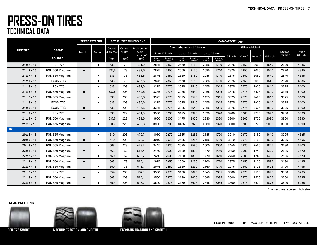|                              |                 |                | <b>TREAD PATTERN</b>        |          |                | <b>ACTUAL TIRE DIMENSIONS</b>    |               |                   |               |                                    |               |                   | LOAD CAPACITY (kg) <sup>2</sup> |         |                             |                   |                                |                    |
|------------------------------|-----------------|----------------|-----------------------------|----------|----------------|----------------------------------|---------------|-------------------|---------------|------------------------------------|---------------|-------------------|---------------------------------|---------|-----------------------------|-------------------|--------------------------------|--------------------|
|                              | <b>BRAND</b>    |                |                             | Overall  | <b>Overall</b> | Replacement                      |               |                   |               | <b>Counterbalanced lift trucks</b> |               |                   |                                 |         | Other vehicles <sup>3</sup> |                   |                                |                    |
| <b>TIRE SIZE<sup>1</sup></b> |                 | Traction       | Smooth                      | diameter | width          | overall<br>diameter <sup>5</sup> |               | Up to 10 km/h     | Up to 16 km/h |                                    |               | Up to 25 km/h     |                                 |         |                             |                   | RO/RO<br>Trailers <sup>4</sup> | Static<br>$0$ km/h |
|                              | <b>SOLIDEAL</b> |                |                             | (mm)     | (mm)           | (mm)                             | Load<br>wheel | Steering<br>wheel | Load<br>wheel | Steering<br>wheel                  | Load<br>wheel | Steering<br>wheel | 6 km/h                          | 10 km/h |                             | 16 km/h   25 km/h |                                |                    |
| 21x7x15                      | <b>PON 775</b>  |                | <b>The State</b>            | 533      | 178            | 481,0                            | 2875          | 2350              | 2560          | 2150                               | 2085          | 1710              | 2875                            | 2350    | 2050                        | 1540              | 2870                           | 4335               |
| 21x7x15                      | PON 550 Magnum  | $\blacksquare$ |                             | 537,5    | 178            | 489,6                            | 2875          | 2350              | 2560          | 2150                               | 2085          | 1710              | 2875                            | 2350    | 2050                        | 1540              | 2870                           | 4335               |
| $21 \times 7 \times 15$      | PON 555 Magnum  |                | $\overline{\phantom{a}}$    | 533      | 178            | 486,6                            | 2875          | 2350              | 2560          | 2150                               | 2085          | 1710              | 2875                            | 2350    | 2050                        | 1540              | 2870                           | 4335               |
| $21 \times 7 \times 15$      | <b>ECOMATIC</b> |                | ×                           | 533      | 178            | 486,6                            | 2875          | 2350              | 2560          | 2150                               | 2085          | 1710              | 2875                            | 2350    | 2050                        | 1540              | 2870                           | 4335               |
| $21 \times 8 \times 15$      | <b>PON 775</b>  |                | <b>The State</b>            | 533      | 203            | 481,0                            | 3375          | 2775              | 3025          | 2540                               | 2455          | 2015              | 3375                            | 2775    | 2425                        | 1810              | 3375                           | 5100               |
| $21 \times 8 \times 15$      | PON 550 Magnum  | $\blacksquare$ |                             | 537,5    | 203            | 489.6                            | 3375          | 2775              | 3025          | 2540                               | 2455          | 2015              | 3375                            | 2775    | 2425                        | 1810              | 3375                           | 5100               |
| $21 \times 8 \times 15$      | PON 555 Magnum  |                | $\blacksquare$              | 533      | 203            | 486,6                            | 3375          | 2775              | 3025          | 2540                               | 2455          | 2015              | 3375                            | 2775    | 2425                        | 1810              | 3375                           | 5100               |
| $21 \times 8 \times 15$      | <b>ECOMATIC</b> |                | $\overline{\phantom{a}}$    | 533      | 203            | 486,6                            | 3375          | 2775              | 3025          | 2540                               | 2455          | 2015              | 3375                            | 2775    | 2425                        | 1810              | 3375                           | 5100               |
| $21 \times 8 \times 15$      | <b>ECOMATIC</b> | $\blacksquare$ |                             | 533      | 203            | 486,6                            | 3375          | 2775              | 3025          | 2540                               | 2455          | 2015              | 3375                            | 2775    | 2425                        | 1810              | 3375                           | 5100               |
| $21 \times 9 \times 15$      | <b>PON 775</b>  |                | $\blacksquare$              | 533      | 229            | 481,0                            | 3900          | 3200              | 3475          | 2920                               | 2830          | 2320              | 3900                            | 3200    | 2775                        | 2090              | 3900                           | 5890               |
| $21 \times 9 \times 15$      | PON 550 Magnum  | п              |                             | 537,5    | 229            | 489,6                            | 3900          | 3200              | 3475          | 2920                               | 2830          | 2320              | 3900                            | 3200    | 2775                        | 2090              | 3900                           | 5890               |
| $21 \times 9 \times 15$      | PON 555 Magnum  |                | $\mathcal{L}_{\mathcal{A}}$ | 533      | 229            | 486,6                            | 3900          | 3200              | 3475          | 2920                               | 2830          | 2320              | 3900                            | 3200    | 2775                        | 2090              | 3900                           | 5890               |
| 16"                          |                 |                |                             |          |                |                                  |               |                   |               |                                    |               |                   |                                 |         |                             |                   |                                |                    |
| $20 \times 8 \times 16$      | PON 555 Magnum  |                | <b>The State</b>            | 510      | 203            | 479,7                            | 3010          | 2470              | 2685          | 2255                               | 2185          | 1790              | 3010                            | 2470    | 2150                        | 1610              | 3225                           | 4545               |
| $20 \times 8 \times 16$      | PON 550 Magnum  | $\blacksquare$ |                             | 510      | 203            | 479,7                            | 3010          | 2470              | 2685          | 2255                               | 2185          | 1790              | 3010                            | 2470    | 2150                        | 1610              | 3225                           | 4545               |
| $20 \times 9 \times 16$      | PON 555 Magnum  |                | $\blacksquare$              | 508      | 229            | 479,7                            | 3445          | 2830              | 3075          | 2580                               | 2500          | 2050              | 3445                            | 2830    | 2460                        | 1845              | 3690                           | 5200               |
| $22 \times 6 \times 16$      | PON 550 Magnum  | $\blacksquare$ |                             | 563      | 152            | 516,4                            | 2450          | 2000              | 2180          | 1830                               | 1770          | 1450              | 2450                            | 2000    | 1740                        | 1300              | 2605                           | 3670               |
| $22 \times 6 \times 16$      | PON 555 Magnum  |                | $\blacksquare$              | 559      | 152            | 513,7                            | 2450          | 2000              | 2180          | 1830                               | 1770          | 1450              | 2450                            | 2000    | 1740                        | 1300              | 2605                           | 3670               |
| $22 \times 7 \times 16$      | PON 550 Magnum  | $\blacksquare$ |                             | 563      | 178            | 516,4                            | 2975          | 2450              | 2650          | 2230                               | 2160          | 1770              | 2975                            | 2450    | 2125                        | 1595              | 3190                           | 4495               |
| $22 \times 7 \times 16$      | PON 555 Magnum  |                | ×                           | 559      | 178            | 513,7                            | 2975          | 2450              | 2650          | 2230                               | 2160          | 1770              | 2975                            | 2450    | 2125                        | 1595              | 3190                           | 4495               |
| $22 \times 8 \times 16$      | <b>PON 775</b>  |                | $\blacksquare$              | 559      | 203            | 507,0                            | 3500          | 2875              | 3130          | 2625                               | 2545          | 2085              | 3500                            | 2875    | 2500                        | 1875              | 3500                           | 5285               |
| $22 \times 8 \times 16$      | PON 550 Magnum  | $\blacksquare$ |                             | 563      | 203            | 516,4                            | 3500          | 2875              | 3130          | 2625                               | 2545          | 2085              | 3500                            | 2875    | 2500                        | 1875              | 3500                           | 5285               |
| $22 \times 8 \times 16$      | PON 555 Magnum  |                | ×                           | 559      | 203            | 513,7                            | 3500          | 2875              | 3130          | 2625                               | 2545          | 2085              | 3500                            | 2875    | 2500                        | 1875              | 3500                           | 5285               |

Blue sections represent hub size

#### **TREAD PATTERNS**





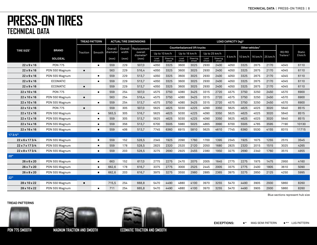|                              |                 |                | <b>TREAD PATTERN</b> |          |         | <b>ACTUAL TIRE DIMENSIONS</b>    |               |                   |               |                                    |               |                   | LOAD CAPACITY (kg) <sup>2</sup> |         |                             |                           |                                |                    |
|------------------------------|-----------------|----------------|----------------------|----------|---------|----------------------------------|---------------|-------------------|---------------|------------------------------------|---------------|-------------------|---------------------------------|---------|-----------------------------|---------------------------|--------------------------------|--------------------|
| <b>TIRE SIZE<sup>1</sup></b> | <b>BRAND</b>    |                |                      | Overall  | Overall | Replacement                      |               |                   |               | <b>Counterbalanced lift trucks</b> |               |                   |                                 |         | Other vehicles <sup>3</sup> |                           |                                |                    |
|                              |                 | Traction       | Smooth               | diameter | width   | overall<br>diameter <sup>5</sup> |               | Up to 10 km/h     | Up to 16 km/h |                                    |               | Up to 25 km/h     |                                 |         |                             |                           | RO/RO<br>Trailers <sup>4</sup> | Static<br>$0$ km/h |
|                              | <b>SOLIDEAL</b> |                |                      | (mm)     | (mm)    | (mm)                             | Load<br>wheel | Steering<br>wheel | Load<br>wheel | Steering<br>wheel                  | Load<br>wheel | Steering<br>wheel | 6 km/h                          | 10 km/h |                             | $16 \text{ km/h}$ 25 km/h |                                |                    |
| $22 \times 9 \times 16$      | <b>PON 775</b>  |                | $\blacksquare$       | 559      | 229     | 507,0                            | 4050          | 3325              | 3600          | 3025                               | 2930          | 2400              | 4050                            | 3325    | 2875                        | 2170                      | 4045                           | 6110               |
| $22 \times 9 \times 16$      | PON 550 Magnum  | $\blacksquare$ |                      | 563      | 229     | 516,4                            | 4050          | 3325              | 3600          | 3025                               | 2930          | 2400              | 4050                            | 3325    | 2875                        | 2170                      | 4045                           | 6110               |
| $22 \times 9 \times 16$      | PON 555 Magnum  |                | <b>In</b>            | 559      | 229     | 513,7                            | 4050          | 3325              | 3600          | 3025                               | 2930          | 2400              | 4050                            | 3325    | 2875                        | 2170                      | 4045                           | 6110               |
| $22 \times 9 \times 16$      | ECOMATIC        |                | <b>In</b>            | 559      | 229     | 513,7                            | 4050          | 3325              | 3600          | 3025                               | 2930          | 2400              | 4050                            | 3325    | 2875                        | 2170                      | 4045                           | 6110               |
| $22 \times 9 \times 16$      | <b>ECOMATIC</b> | $\blacksquare$ |                      | 559      | 229     | 513,7                            | 4050          | 3325              | 3600          | 3025                               | 2930          | 2400              | 4050                            | 3325    | 2875                        | 2170                      | 4045                           | 6110               |
| 22 x 10 x 16                 | <b>PON 775</b>  |                | $\blacksquare$       | 559      | 254     | 507,0                            | 4575          | 3750              | 4080          | 3425                               | 3315          | 2720              | 4575                            | 3750    | 3250                        | 2450                      | 4570                           | 6900               |
| $22 \times 10 \times 16$     | PON 550 Magnum  | п              |                      | 563      | 254     | 516,4                            | 4575          | 3750              | 4080          | 3425                               | 3315          | 2720              | 4575                            | 3750    | 3250                        | 2450                      | 4570                           | 6900               |
| $22 \times 10 \times 16$     | PON 555 Magnum  |                | $\blacksquare$       | 559      | 254     | 513,7                            | 4575          | 3750              | 4080          | 3425                               | 3315          | 2720              | 4575                            | 3750    | 3250                        | 2450                      | 4570                           | 6900               |
| 22 x 12 x 16                 | <b>PON 775</b>  | $\blacksquare$ |                      | 559      | 305     | 507,0                            | 5625          | 4625              | 5030          | 4225                               | 4090          | 3350              | 5625                            | 4625    | 4025                        | 3020                      | 5640                           | 8515               |
| $22 \times 12 \times 16$     | PON 550 Magnum  |                | <b>TE</b>            | 563,5    | 305     | 516,7                            | 5625          | 4625              | 5030          | 4225                               | 4090          | 3350              | 5625                            | 4625    | 4025                        | 3020                      | 5640                           | 8515               |
| $22 \times 12 \times 16$     | PON 555 Magnum  |                | ٠                    | 559      | 305     | 513.7                            | 5625          | 4625              | 5030          | 4225                               | 4090          | 3350              | 5625                            | 4625    | 4025                        | 3020                      | 5640                           | 8515               |
| $22 \times 14 \times 16$     | PON 555 Magnum  |                | <b>In</b>            | 559      | 356     | 513,7                            | 6700          | 5505              | 5980          | 5025                               | 4865          | 3990              | 6700                            | 5505    | 4785                        | 3595                      | 7190                           | 10130              |
| $22 \times 16 \times 16$     | PON 555 Magnum  |                | T                    | 559      | 406     | 513,7                            | 7745          | 6360              | 6915          | 5810                               | 5625          | 4610              | 7745                            | 6360    | 5530                        | 4155                      | 8315                           | 11715              |
| 173/4"                       |                 |                |                      |          |         |                                  |               |                   |               |                                    |               |                   |                                 |         |                             |                           |                                |                    |
| $22 \times 6 \times 173/4$   | PON 555 Magnum  |                |                      | 559      | 152     | 528,5                            | 2345          | 1925              | 2090          | 1760                               | 1700          | 1395              | 2345                            | 1925    | 1675                        | 1255                      | 2515                           | 3545               |
| 22 x 7 x 17 3/4              | PON 555 Magnum  |                | ×                    | 559      | 178     | 528,5                            | 2825          | 2320              | 2520          | 2120                               | 2050          | 1680              | 2825                            | 2320    | 2015                        | 1515                      | 3025                           | 4265               |
| $22 \times 8 \times 173/4$   | PON 555 Magnum  |                | ×                    | 559      | 203     | 528.5                            | 3275          | 2690              | 2925          | 2455                               | 2380          | 1950              | 3275                            | 2690    | 2340                        | 1760                      | 3515                           | 4955               |
| 20"                          |                 |                |                      |          |         |                                  |               |                   |               |                                    |               |                   |                                 |         |                             |                           |                                |                    |
| $26 \times 6 \times 20$      | PON 555 Magnum  |                | <b>In</b>            | 663      | 152     | 617.0                            | 2775          | 2275              | 2470          | 2075                               | 2005          | 1645              | 2775                            | 2275    | 1975                        | 1475                      | 2950                           | 4160               |
| $26 \times 7 \times 20$      | PON 555 Magnum  |                | ×                    | 662,6    | 178     | 616,7                            | 3375          | 2775              | 3000          | 2525                               | 2445          | 2005              | 3375                            | 2775    | 2400                        | 1805                      | 3610                           | 5090               |
| $26 \times 8 \times 20$      | PON 555 Magnum  |                | <b>In</b>            | 662,6    | 203     | 616,7                            | 3975          | 3275              | 3550          | 2980                               | 2885          | 2365              | 3975                            | 3275    | 2850                        | 2125                      | 4250                           | 5995               |
| 22"                          |                 |                |                      |          |         |                                  |               |                   |               |                                    |               |                   |                                 |         |                             |                           |                                |                    |
| 28 x 10 x 22                 | PON 550 Magnum  | $\blacksquare$ |                      | 715,5    | 254     | 668,8                            | 5470          | 4490              | 4880          | 4100                               | 3970          | 3255              | 5470                            | 4490    | 3905                        | 2930                      | 5860                           | 8260               |
| 28 x 10 x 22                 | PON 555 Magnum  |                | T                    | 711      | 254     | 665.8                            | 5470          | 4490              | 4880          | 4100                               | 3970          | 3255              | 5470                            | 4490    | 3905                        | 2930                      | 5860                           | 8260               |

Blue sections represent hub size

#### **TREAD PATTERNS**





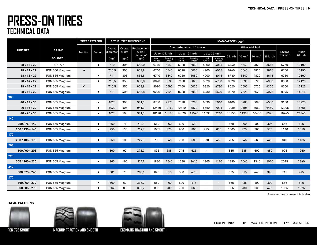|                              |                 |                        | <b>TREAD PATTERN</b> |          |         | <b>ACTUAL TIRE DIMENSIONS</b>    |               |                   |               |                                    |                          |                          | LOAD CAPACITY (kg) <sup>2</sup> |                             |                   |      |                                |                    |
|------------------------------|-----------------|------------------------|----------------------|----------|---------|----------------------------------|---------------|-------------------|---------------|------------------------------------|--------------------------|--------------------------|---------------------------------|-----------------------------|-------------------|------|--------------------------------|--------------------|
| <b>TIRE SIZE<sup>1</sup></b> | <b>BRAND</b>    |                        |                      | Overall  | Overall | Replacement                      |               |                   |               | <b>Counterbalanced lift trucks</b> |                          |                          |                                 | Other vehicles <sup>3</sup> |                   |      |                                |                    |
|                              |                 | Traction               | Smooth               | diameter | width   | overall<br>diameter <sup>5</sup> | Up to 10 km/h |                   | Up to 16 km/h |                                    | Up to 25 km/h            |                          |                                 |                             |                   |      | RO/RO<br>Trailers <sup>4</sup> | Static<br>$0$ km/h |
|                              | <b>SOLIDEAL</b> |                        |                      | (mm)     | (mm)    | (mm)                             | Load<br>wheel | Steering<br>wheel | Load<br>wheel | Steering<br>wheel                  | Load<br>wheel            | Steering<br>wheel        | 6 km/h                          | 10 km/h                     | 16 km/h   25 km/h |      |                                |                    |
| 28 x 12 x 22                 | <b>PON 775</b>  |                        | $\blacksquare$       | 710      | 305     | 658,0                            | 6740          | 5540              | 6020          | 5060                               | 4900                     | 4015                     | 6740                            | 5540                        | 4820              | 3615 | 6750                           | 10190              |
| 28 x 12 x 22                 | PON 550 Magnum  | п                      |                      | 715,5    | 305     | 668,8                            | 6740          | 5540              | 6020          | 5060                               | 4900                     | 4015                     | 6740                            | 5540                        | 4820              | 3615 | 6750                           | 10190              |
| 28 x 12 x 22                 | PON 555 Magnum  |                        | $\blacksquare$       | 711      | 305     | 665.8                            | 6740          | 5540              | 6020          | 5060                               | 4900                     | 4015                     | 6740                            | 5540                        | 4820              | 3615 | 6750                           | 10190              |
| 28 x 14 x 22                 | PON 555 Magnum  |                        | $\blacksquare$       | 715,5    | 356     | 668,8                            | 8020          | 6590              | 7160          | 6020                               | 5820                     | 4780                     | 8020                            | 6590                        | 5720              | 4300 | 8600                           | 12125              |
| 28 x 14 x 22                 | PON 555 Magnum  | $\blacksquare^{\star}$ |                      | 715,5    | 356     | 668,8                            | 8020          | 6590              | 7160          | 6020                               | 5820                     | 4780                     | 8020                            | 6590                        | 5720              | 4300 | 8600                           | 12125              |
| 28 x 16 x 22                 | PON 555 Magnum  |                        | п                    | 711      | 406     | 665,8                            | 9270          | 7620              | 8280          | 6950                               | 6730                     | 5520                     | 9270                            | 7620                        | 6620              | 4975 | 9945                           | 14015              |
| 30"                          |                 |                        |                      |          |         |                                  |               |                   |               |                                    |                          |                          |                                 |                             |                   |      |                                |                    |
| $40 \times 12 \times 30$     | PON 555 Magnum  |                        | $\blacksquare$       | 1020     | 305     | 941,3                            | 8760          | 7170              | 7620          | 6260                               | 6030                     | 5010                     | 9100                            | 6485                        | 5690              | 4550 | 9100                           | 13225              |
| 40 x 16 x 30                 | PON 555 Magnum  |                        | $\blacksquare$       | 1020     | 406     | 941,3                            | 12420         | 10160             | 10810         | 8870                               | 8550                     | 7095                     | 12905                           | 9195                        | 8060              | 6450 | 12905                          | 18755              |
| 40 x 20 x 30                 | PON 555 Magnum  |                        | п                    | 1020     | 508     | 941,3                            | 16120         | 13180             | 14020         | 11520                              | 11090                    | 9210                     | 16750                           | 11935                       | 10460             | 8375 | 16745                          | 24340              |
| 140                          |                 |                        |                      |          |         |                                  |               |                   |               |                                    |                          |                          |                                 |                             |                   |      |                                |                    |
| $250/75 - 140$               | PON 555 Magnum  |                        | $\blacksquare$       | 250      | 75      | 217.8                            | 560           | 460               | 500           | 420                                | $\sim$                   | $\overline{\phantom{a}}$ | 560                             | 460                         | 400               | 305  | 665                            | 845                |
| $250/130 - 140$              | PON 555 Magnum  |                        | $\blacksquare$       | 250      | 130     | 217,8                            | 1065          | 875               | 950           | 800                                | 775                      | 635                      | 1065                            | 875                         | 760               | 570  | 1140                           | 1610               |
| 170                          |                 |                        |                      |          |         |                                  |               |                   |               |                                    |                          |                          |                                 |                             |                   |      |                                |                    |
| $250/105 - 170$              | PON 555 Magnum  |                        | $\blacksquare$       | 250      | 105     | 227,8                            | 780           | 645               | 700           | 585                                | 570                      | 465                      | 785                             | 645                         | 560               | 420  | 840                            | 1185               |
| 203                          |                 |                        |                      |          |         |                                  |               |                   |               |                                    |                          |                          |                                 |                             |                   |      |                                |                    |
| $300/90 - 203$               | PON 555 Magnum  |                        | $\blacksquare$       | 300      | 90      | 272,3                            | 835           | 685               | 745           | 625                                |                          | $\overline{\phantom{a}}$ | 835                             | 685                         | 600               | 450  | 995                            | 1260               |
| 220                          |                 |                        |                      |          |         |                                  |               |                   |               |                                    |                          |                          |                                 |                             |                   |      |                                |                    |
| $365/160 - 220$              | PON 555 Magnum  |                        | п                    | 365      | 160     | 321,1                            | 1880          | 1545              | 1680          | 1410                               | 1365                     | 1120                     | 1880                            | 1545                        | 1345              | 1010 | 2015                           | 2840               |
| 240                          |                 |                        |                      |          |         |                                  |               |                   |               |                                    |                          |                          |                                 |                             |                   |      |                                |                    |
| $300 / 75 - 240$             | PON 555 Magnum  |                        | $\blacksquare$       | 301      | 75      | 285,1                            | 625           | 515               | 560           | 470                                |                          | $\overline{\phantom{a}}$ | 625                             | 515                         | 445               | 340  | 745                            | 945                |
| 270                          |                 |                        |                      |          |         |                                  |               |                   |               |                                    |                          |                          |                                 |                             |                   |      |                                |                    |
| $360/60 - 270$               | PON 555 Magnum  |                        | $\blacksquare$       | 360      | 60      | 335,7                            | 560           | 460               | 500           | 415                                | $\overline{\phantom{a}}$ | ÷                        | 665                             | 435                         | 400               | 300  | 665                            | 845                |
| $360/85 - 270$               | PON 555 Magnum  |                        | п                    | 362      | 85      | 335,7                            | 885           | 730               | 790           | 660                                |                          |                          | 885                             | 730                         | 635               | 475  | 1055                           | 1325               |

Blue sections represent hub size

#### **TREAD PATTERNS**





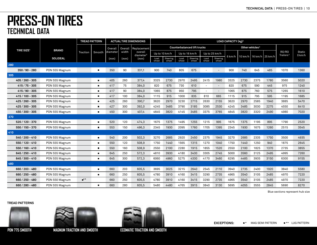|                              |                 |                     | <b>TREAD PATTERN</b> |          |         | <b>ACTUAL TIRE DIMENSIONS</b>    |               |                   |               |                                    |               |                          | LOAD CAPACITY (kg) <sup>2</sup> |         |                             |      |                                |                    |
|------------------------------|-----------------|---------------------|----------------------|----------|---------|----------------------------------|---------------|-------------------|---------------|------------------------------------|---------------|--------------------------|---------------------------------|---------|-----------------------------|------|--------------------------------|--------------------|
| <b>TIRE SIZE<sup>1</sup></b> | <b>BRAND</b>    |                     |                      | Overall  | Overall | Replacement                      |               |                   |               | <b>Counterbalanced lift trucks</b> |               |                          |                                 |         | Other vehicles <sup>3</sup> |      |                                |                    |
|                              |                 | Traction            | Smooth               | diameter | width   | overall<br>diameter <sup>5</sup> |               | Up to 10 km/h     |               | Up to 16 km/h                      |               | Up to 25 km/h            |                                 |         |                             |      | RO/RO<br>Trailers <sup>4</sup> | Static<br>$0$ km/h |
|                              | <b>SOLIDEAL</b> |                     |                      | (mm)     | (mm)    | (mm)                             | Load<br>wheel | Steering<br>wheel | Load<br>wheel | Steering<br>wheel                  | Load<br>wheel | Steering<br>wheel        | 6 km/h                          | 10 km/h | 16 km/h   25 km/h           |      |                                |                    |
| 280                          |                 |                     |                      |          |         |                                  |               |                   |               |                                    |               |                          |                                 |         |                             |      |                                |                    |
| $350/90 - 280$               | PON 555 Magnum  |                     | п                    | 350      | 90      | 331,1                            | 900           | 740               | 805           | 675                                |               |                          | 900                             | 740     | 645                         | 485  | 1070                           | 1360               |
| 305                          |                 |                     |                      |          |         |                                  |               |                   |               |                                    |               |                          |                                 |         |                             |      |                                |                    |
| $405/260 - 305$              | PON 555 Magnum  |                     | $\blacksquare$       | 405      | 260     | 377.4                            | 3325          | 2730              | 2970          | 2495                               | 2415          | 1980                     | 3325                            | 2730    | 2375                        | 1780 | 3560                           | 5020               |
| $415/75 - 305$               | PON 555 Magnum  |                     | $\blacksquare$       | 417      | 75      | 384,0                            | 820           | 675               | 730           | 610                                | $\sim$        | $\overline{\phantom{a}}$ | 820                             | 675     | 590                         | 445  | 975                            | 1240               |
| $415/90 - 305$               | PON 555 Magnum  |                     | $\blacksquare$       | 417      | 90      | 384,0                            | 1065          | 875               | 950           | 795                                | ۰             | $\overline{\phantom{a}}$ | 1065                            | 875     | 760                         | 575  | 1265                           | 1610               |
| $415/100 - 305$              | PON 555 Magnum  |                     | $\blacksquare$       | 417      | 100     | 384,0                            | 1115          | 915               | 1000          | 835                                | 810           | 665                      | 1115                            | 915     | 795                         | 595  | 1195                           | 1685               |
| $425/260 - 305$              | PON 555 Magnum  |                     | $\blacksquare$       | 425      | 260     | 390,7                            | 3620          | 2970              | 3230          | 2715                               | 2630          | 2155                     | 3620                            | 2970    | 2585                        | 1940 | 3885                           | 5470               |
| $425/300 - 305$              | PON 555 Magnum  |                     | $\blacksquare$       | 427      | 300     | 392,0                            | 4245          | 3485              | 3790          | 3185                               | 3085          | 2530                     | 4245                            | 3485    | 3030                        | 2275 | 4550                           | 6410               |
| 450 / 300 - 305              | PON 555 Magnum  |                     | п                    | 450      | 300     | 407,4                            | 4645          | 3820              | 4145          | 3485                               | 3375          | 3765                     | 4645                            | 3820    | 3320                        | 2490 | 4980                           | 7020               |
| 370                          |                 |                     |                      |          |         |                                  |               |                   |               |                                    |               |                          |                                 |         |                             |      |                                |                    |
| 520 / 120 - 370              | PON 555 Magnum  |                     | п                    | 520      | 120     | 474,3                            | 1675          | 1375              | 1495          | 1255                               | 1215          | 995                      | 1675                            | 1375    | 1195                        | 895  | 1790                           | 2520               |
| $550/150 - 370$              | PON 555 Magnum  |                     | $\blacksquare$       | 553      | 150     | 496,3                            | 2345          | 1930              | 2095          | 1760                               | 1705          | 1395                     | 2345                            | 1930    | 1675                        | 1260 | 2515                           | 3545               |
| 410                          |                 |                     |                      |          |         |                                  |               |                   |               |                                    |               |                          |                                 |         |                             |      |                                |                    |
| $540 / 200 - 410$            | PON 555 Magnum  |                     | $\blacksquare$       | 540      | 200     | 502,3                            | 3270          | 2685              | 2920          | 2450                               | 2375          | 1945                     | 3270                            | 2685    | 2335                        | 1750 | 3500                           | 4935               |
| $550/120 - 410$              | PON 555 Magnum  |                     | $\blacksquare$       | 550      | 120     | 508,9                            | 1750          | 1440              | 1565          | 1315                               | 1270          | 1040                     | 1750                            | 1440    | 1250                        | 940  | 1875                           | 2645               |
| $550/160 - 410$              | PON 555 Magnum  |                     | $\blacksquare$       | 550      | 160     | 508.9                            | 2550          | 2100              | 2280          | 1915                               | 1855          | 1520                     | 2550                            | 2100    | 1825                        | 1370 | 2735                           | 3855               |
| $645/250 - 410$              | PON 555 Magnum  |                     | $\blacksquare$       | 645      | 250     | 572,3                            | 4810          | 3930              | 4180          | 3430                               | 3305          | 2745                     | 5000                            | 3560    | 3125                        | 2495 | 4995                           | 7260               |
| $645/300 - 410$              | PON 555 Magnum  |                     | $\blacksquare$       | 645      | 300     | 572,3                            | 6060          | 4960              | 5275          | 4330                               | 4170          | 3460                     | 6295                            | 4485    | 3935                        | 3150 | 6300                           | 9155               |
| 480                          |                 |                     |                      |          |         |                                  |               |                   |               |                                    |               |                          |                                 |         |                             |      |                                |                    |
| $660 / 203 - 480$            | PON 555 Magnum  |                     | $\blacksquare$       | 660      | 203     | 605,5                            | 3695          | 3025              | 3215          | 2640                               | 2545          | 2110                     | 3940                            | 2735    | 2400                        | 1920 | 3840                           | 5580               |
| $660 / 250 - 480$            | PON 555 Magnum  |                     | $\blacksquare$       | 660      | 250     | 605,5                            | 4780          | 3910              | 4160          | 3415                               | 3290          | 2735                     | 4965                            | 3540    | 3105                        | 2485 | 4970                           | 7220               |
| $660 / 250 - 480$            | PON 550 Magnum  | $\blacksquare^{**}$ |                      | 660      | 250     | 605,5                            | 4780          | 3910              | 4160          | 3415                               | 3290          | 2735                     | 4965                            | 3540    | 3105                        | 2485 | 4970                           | 7220               |
| $660 / 280 - 480$            | PON 555 Magnum  |                     | $\blacksquare$       | 660      | 280     | 605,5                            | 5480          | 4480              | 4765          | 3915                               | 3840          | 3130                     | 5695                            | 4055    | 3555                        | 2845 | 5690                           | 8270               |

Blue sections represent hub size

#### **TREAD PATTERNS**





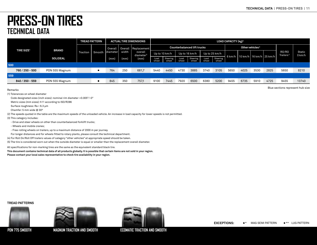Blue sections represent hub size

### **PRESS-ON TIRES TECHNICAL DATA**

|     |                              |                 |          | <b>TREAD PATTERN</b> |          |       | <b>ACTUAL TIRE DIMENSIONS</b>    |               |                          |               |                                    |               |                   | LOAD CAPACITY (kg) <sup>2</sup> |      |                             |                             |                                |                    |
|-----|------------------------------|-----------------|----------|----------------------|----------|-------|----------------------------------|---------------|--------------------------|---------------|------------------------------------|---------------|-------------------|---------------------------------|------|-----------------------------|-----------------------------|--------------------------------|--------------------|
|     | <b>TIRE SIZE<sup>1</sup></b> | <b>BRAND</b>    |          |                      | Overall  |       | Overall   Replacement            |               |                          |               | <b>Counterbalanced lift trucks</b> |               |                   |                                 |      | Other vehicles <sup>3</sup> |                             |                                |                    |
|     |                              |                 | Traction | Smooth               | diameter | width | overall<br>diameter <sup>5</sup> |               | Up to 10 km/h            |               | Up to 16 km/h                      |               | Up to 25 km/h     | 6 km/h                          |      |                             | 10 km/h   16 km/h   25 km/h | RO/RO<br>Trailers <sup>4</sup> | Static<br>$0$ km/h |
|     |                              | <b>SOLIDEAL</b> |          |                      | mm)      | (mm)  | (mm)                             | Load<br>wheel | <b>Steering</b><br>wheel | Load<br>wheel | Steering<br>wheel                  | Load<br>wheel | Steering<br>wheel |                                 |      |                             |                             |                                |                    |
| 500 |                              |                 |          |                      |          |       |                                  |               |                          |               |                                    |               |                   |                                 |      |                             |                             |                                |                    |
|     | 760 / 250 - 500              | PON 555 Magnum  |          | $\blacksquare$       | 764      | 250   | 681,7                            | 5440          | 4450                     | 4730          | 3885                               | 3740          | 3105              | 5650                            | 4025 | 3530                        | 2825                        | 5650                           | 8210               |
| 559 |                              |                 |          |                      |          |       |                                  |               |                          |               |                                    |               |                   |                                 |      |                             |                             |                                |                    |
|     | $840/350 - 559$              | PON 555 Magnum  |          | $\blacksquare$       | 845      | 350   | 757,1                            | 9100          | 7445                     | 7920          | 6500                               | 6380          | 5200              | 9455                            | 6735 | 5910                        | 4725                        | 9455                           | 13740              |

Remarks

(1) Tolerances on wheel diameter

Code designated sizes (inch sizes): nominal rim diameter +0.005"/-0"

Metric sizes (mm sizes): h11 according to ISO/R286

Surface roughness: Ra < 6.3 µm

Chamfer: 5 mm wide @ 30º

(2) The speeds quoted in the table are the maximum speeds of the unloaded vehicle. An increase in load capacity for lower speeds is not permitted.

(3) This category includes:

- Drive and steer wheels on other than counterbalanced forklift trucks;

- Wheels and mobile cranes;

- Free-rolling wheels on trailers, up to a maximum distance of 2000 m per journey.

For longer distances and for wheels fitted to rotary plants, please consult the technical department.

(4) For Roll On/Roll Off trailers values of category "other vehicles" at appropriate speed should be taken.

(5) The tire is considered worn out when the outside diameter is equal or smaller than the replacement overall diameter.

All specifications for non-marking tires are the same as the equivalent standard black tire.

**This document contains technical data of all products globally. It is possible that certain items are not sold in your region.**

**Please contact your local sales representative to check tire availability in your region.**

#### **TREAD PATTERNS**